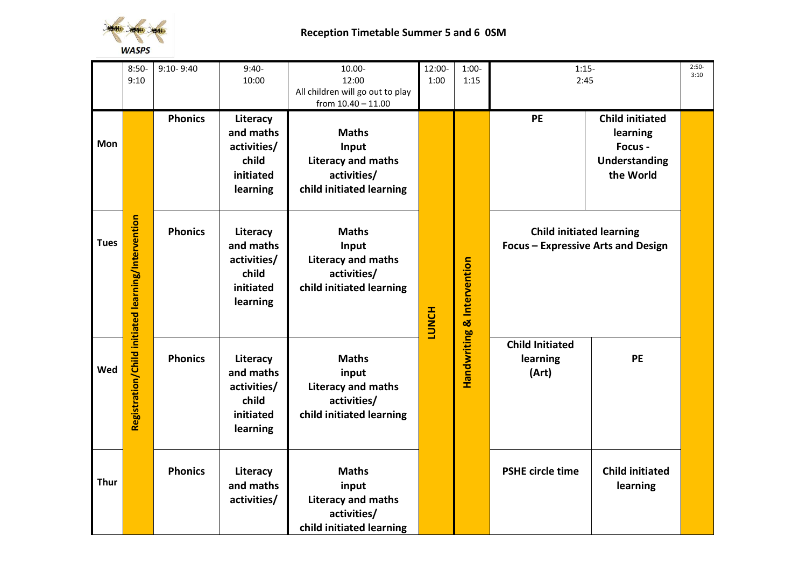

|             | $8:50-$<br>9:10                                    | $9:10 - 9:40$  | $9:40-$<br>10:00                                                       | 10.00-<br>12:00                                                                               | 12:00-<br>1:00 | $1:00-$<br>1:15                       | $1:15-$<br>2:45                                                       |                                                                             | $2:50-$<br>3:10 |
|-------------|----------------------------------------------------|----------------|------------------------------------------------------------------------|-----------------------------------------------------------------------------------------------|----------------|---------------------------------------|-----------------------------------------------------------------------|-----------------------------------------------------------------------------|-----------------|
|             |                                                    |                |                                                                        | All children will go out to play<br>from $10.40 - 11.00$                                      |                |                                       |                                                                       |                                                                             |                 |
| Mon         |                                                    | <b>Phonics</b> | Literacy<br>and maths<br>activities/<br>child<br>initiated<br>learning | <b>Maths</b><br>Input<br>Literacy and maths<br>activities/<br>child initiated learning        |                |                                       | PE                                                                    | <b>Child initiated</b><br>learning<br>Focus -<br>Understanding<br>the World |                 |
| <b>Tues</b> | Registration/Child initiated learning/Intervention | <b>Phonics</b> | Literacy<br>and maths<br>activities/<br>child<br>initiated<br>learning | <b>Maths</b><br>Input<br><b>Literacy and maths</b><br>activities/<br>child initiated learning | <b>LUNCH</b>   | <b>Handwriting &amp; Intervention</b> | <b>Child initiated learning</b><br>Focus - Expressive Arts and Design |                                                                             |                 |
| Wed         |                                                    | <b>Phonics</b> | Literacy<br>and maths<br>activities/<br>child<br>initiated<br>learning | <b>Maths</b><br>input<br><b>Literacy and maths</b><br>activities/<br>child initiated learning |                |                                       | <b>Child Initiated</b><br>learning<br>(Art)                           | <b>PE</b>                                                                   |                 |
| <b>Thur</b> |                                                    | <b>Phonics</b> | Literacy<br>and maths<br>activities/                                   | <b>Maths</b><br>input<br><b>Literacy and maths</b><br>activities/<br>child initiated learning |                |                                       | <b>PSHE circle time</b>                                               | <b>Child initiated</b><br>learning                                          |                 |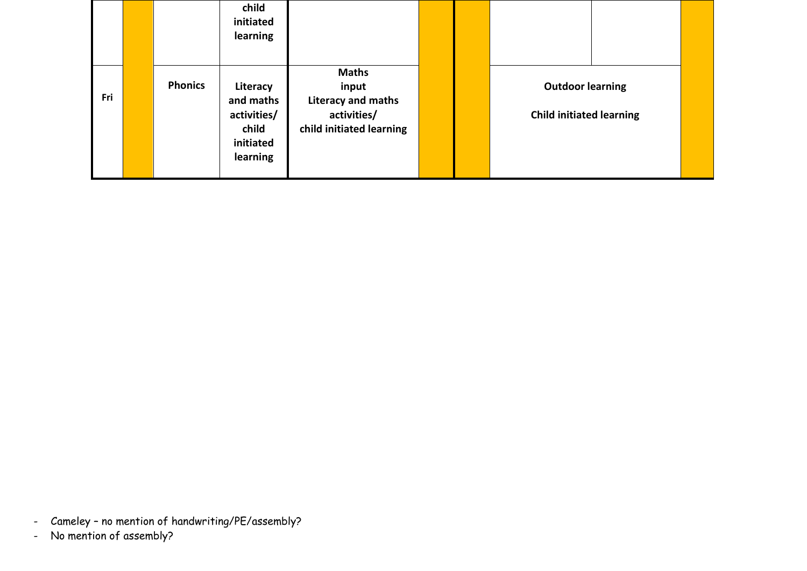|     |                | child<br>initiated<br>learning                                         |                                                                                        |  |                                                            |  |
|-----|----------------|------------------------------------------------------------------------|----------------------------------------------------------------------------------------|--|------------------------------------------------------------|--|
| Fri | <b>Phonics</b> | Literacy<br>and maths<br>activities/<br>child<br>initiated<br>learning | <b>Maths</b><br>input<br>Literacy and maths<br>activities/<br>child initiated learning |  | <b>Outdoor learning</b><br><b>Child initiated learning</b> |  |

- Cameley no mention of handwriting/PE/assembly?
- No mention of assembly?